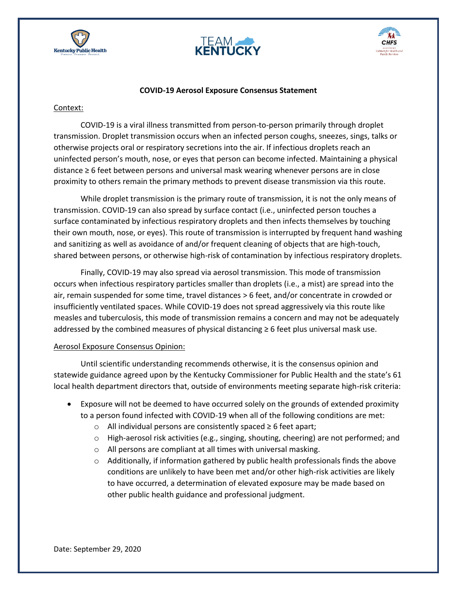





## **COVID-19 Aerosol Exposure Consensus Statement**

## Context:

COVID-19 is a viral illness transmitted from person-to-person primarily through droplet transmission. Droplet transmission occurs when an infected person coughs, sneezes, sings, talks or otherwise projects oral or respiratory secretions into the air. If infectious droplets reach an uninfected person's mouth, nose, or eyes that person can become infected. Maintaining a physical distance ≥ 6 feet between persons and universal mask wearing whenever persons are in close proximity to others remain the primary methods to prevent disease transmission via this route.

While droplet transmission is the primary route of transmission, it is not the only means of transmission. COVID-19 can also spread by surface contact (i.e., uninfected person touches a surface contaminated by infectious respiratory droplets and then infects themselves by touching their own mouth, nose, or eyes). This route of transmission is interrupted by frequent hand washing and sanitizing as well as avoidance of and/or frequent cleaning of objects that are high-touch, shared between persons, or otherwise high-risk of contamination by infectious respiratory droplets.

Finally, COVID-19 may also spread via aerosol transmission. This mode of transmission occurs when infectious respiratory particles smaller than droplets (i.e., a mist) are spread into the air, remain suspended for some time, travel distances > 6 feet, and/or concentrate in crowded or insufficiently ventilated spaces. While COVID-19 does not spread aggressively via this route like measles and tuberculosis, this mode of transmission remains a concern and may not be adequately addressed by the combined measures of physical distancing ≥ 6 feet plus universal mask use.

## Aerosol Exposure Consensus Opinion:

Until scientific understanding recommends otherwise, it is the consensus opinion and statewide guidance agreed upon by the Kentucky Commissioner for Public Health and the state's 61 local health department directors that, outside of environments meeting separate high-risk criteria:

- Exposure will not be deemed to have occurred solely on the grounds of extended proximity to a person found infected with COVID-19 when all of the following conditions are met:
	- o All individual persons are consistently spaced ≥ 6 feet apart;
	- $\circ$  High-aerosol risk activities (e.g., singing, shouting, cheering) are not performed; and
	- o All persons are compliant at all times with universal masking.
	- $\circ$  Additionally, if information gathered by public health professionals finds the above conditions are unlikely to have been met and/or other high-risk activities are likely to have occurred, a determination of elevated exposure may be made based on other public health guidance and professional judgment.